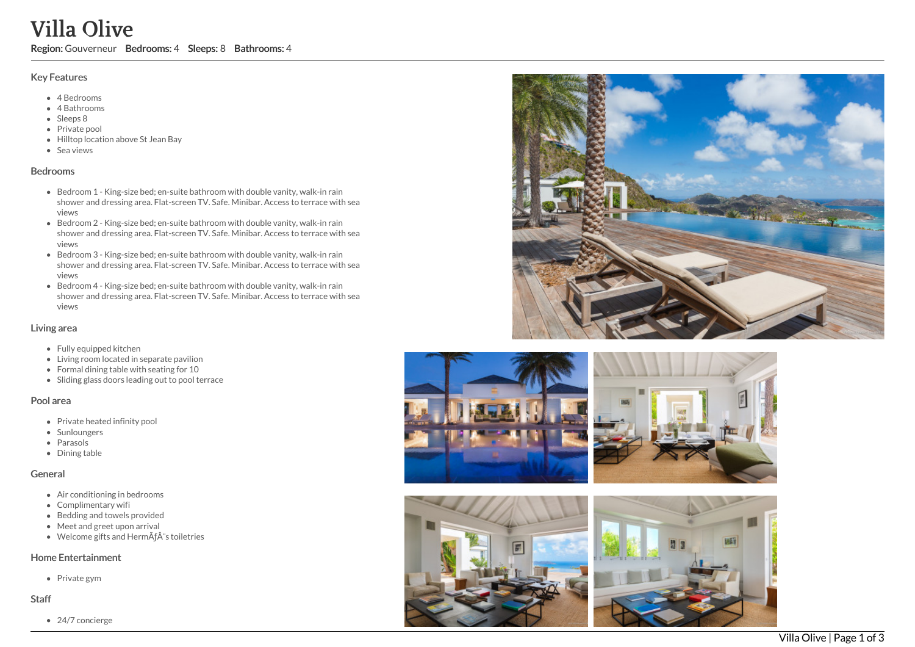# Villa Olive

Region: Gouverneur Bedrooms: 4 Sleeps: 8 Bathrooms: 4

#### Key Features

- 4 B e d r o o m s
- 4 Bathrooms
- Sleeps 8
- Private pool
- Hilltop location above St Jean Bay
- S e a vie w s

# **Bedrooms**

- Bedroom 1 King-size bed; en-suite bathroom with double vanity, walk-in rain shower and dressing area. Flat-screen TV. Safe. Minibar. Access to terrace with sea vie w s
- Bedroom 2 King-size bed; en-suite bathroom with double vanity, walk-in rain shower and dressing area. Flat-screen TV. Safe. Minibar. Access to terrace with sea vie w s
- Bedroom 3 King-size bed; en-suite bathroom with double vanity, walk-in rain shower and dressing area. Flat-screen TV. Safe. Minibar. Access to terrace with sea vie w s
- Bedroom 4 King-size bed; en-suite bathroom with double vanity, walk-in rain shower and dressing area. Flat-screen TV. Safe. Minibar. Access to terrace with sea vie w s

# Living area

- Fully equipped kitchen
- Living room located in separate pavilion
- Formal dining table with seating for 10
- Sliding glass doors leading out to pool terrace

#### Pool area

- Private heated infinity pool
- Sunloungers
- Parasols
- Dining table

#### General

- Air conditioning in bedrooms
- Complimentary wifi
- Bedding and towels provided
- Meet and greet upon arrival
- Welcome gifts and Hermès toiletries

# Home Entertainment

Private gym

#### S t a f f

24/7 concierge









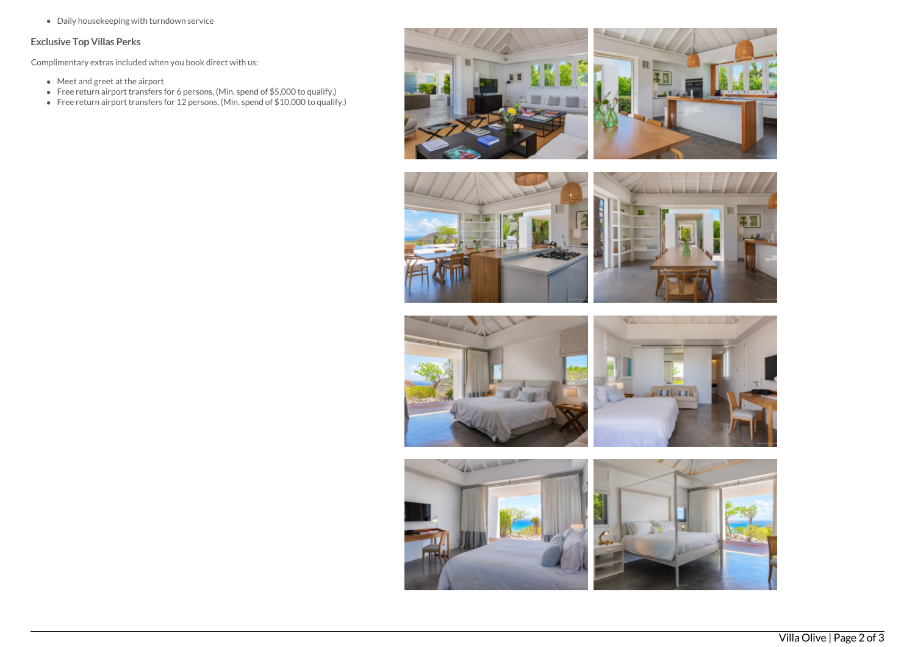Daily housekeeping with turndown service

# Exclusive Top Villas Perks

Complimentary extras included when you book direct with us:

- Meet and greet at the airport
- Free return airport transfers for 6 persons, (Min. spend of \$5,000 to qualify.)
- Free return airport transfers for 12 persons, (Min. spend of \$10,000 to qualify.)